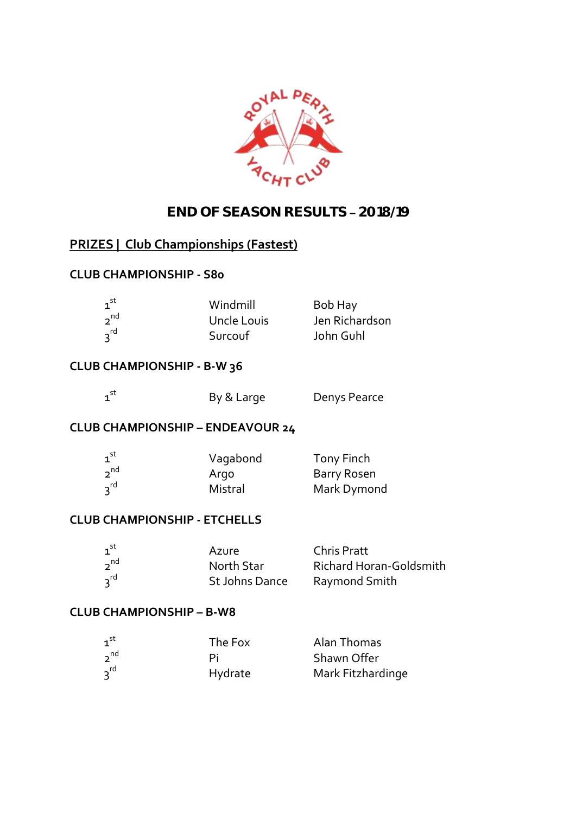

# **END OF SEASON RESULTS 2018/19**

# **PRIZES | Club Championships (Fastest)**

# **CLUB CHAMPIONSHIP - S80**

| $\mathbf{1}^{\mathsf{st}}$ | Windmill    | Bob Hay        |
|----------------------------|-------------|----------------|
| $2^{nd}$                   | Uncle Louis | Jen Richardson |
| 3 <sup>rd</sup>            | Surcouf     | John Guhl      |

# **CLUB CHAMPIONSHIP - B-W 36**

| $\overline{\phantom{a}}$<br>v<br>٩<br>an a |
|--------------------------------------------|
|--------------------------------------------|

By & Large Denys Pearce

# **CLUB CHAMPIONSHIP – ENDEAVOUR 24**

| $1^{\text{st}}$ | Vagabond | Tony Finch  |
|-----------------|----------|-------------|
| $2^{nd}$        | Argo     | Barry Rosen |
| $3^{rd}$        | Mistral  | Mark Dymond |

#### **CLUB CHAMPIONSHIP - ETCHELLS**

| $1^{\text{st}}$ | Azure          | <b>Chris Pratt</b>             |
|-----------------|----------------|--------------------------------|
| $2^{nd}$        | North Star     | <b>Richard Horan-Goldsmith</b> |
| $3^{rd}$        | St Johns Dance | Raymond Smith                  |

#### **CLUB CHAMPIONSHIP – B-W8**

| $1^{\text{st}}$ | The Fox | Alan Thomas       |
|-----------------|---------|-------------------|
| $2^{nd}$        |         | Shawn Offer       |
| $3^{rd}$        | Hydrate | Mark Fitzhardinge |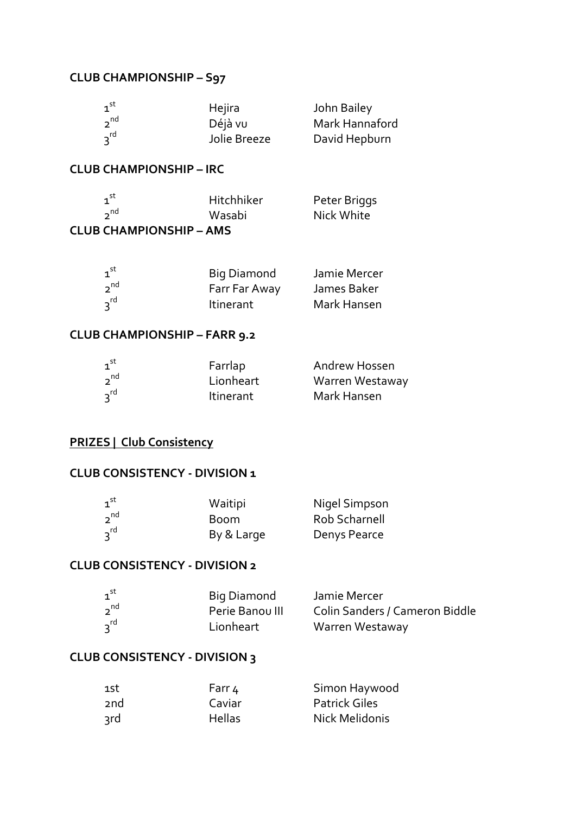#### **CLUB CHAMPIONSHIP – S97**

| $1^{\text{st}}$ | Hejira       | John Bailey    |
|-----------------|--------------|----------------|
| $2^{nd}$        | Déjà vu      | Mark Hannaford |
| $3^{rd}$        | Jolie Breeze | David Hepburn  |

#### **CLUB CHAMPIONSHIP – IRC**

| $\tau^{\text{st}}$             | Hitchhiker | Peter Briggs |
|--------------------------------|------------|--------------|
| $2^{nd}$                       | Wasabi     | Nick White   |
| <b>CLUB CHAMPIONSHIP - AMS</b> |            |              |

#### $1^{\text{st}}$ <sup>st</sup> Big Diamond Damie Mercer  $2^{nd}$ <sup>nd</sup> Farr Far Away James Baker  $3^{rd}$ Itinerant Mark Hansen

#### **CLUB CHAMPIONSHIP – FARR 9.2**

| 1 <sup>st</sup> | Farrlap          | <b>Andrew Hossen</b> |
|-----------------|------------------|----------------------|
| $2^{nd}$        | Lionheart        | Warren Westaway      |
| $3^{rd}$        | <b>Itinerant</b> | Mark Hansen          |

### **PRIZES | Club Consistency**

#### **CLUB CONSISTENCY - DIVISION 1**

| 1 <sup>st</sup> | Waitipi    | Nigel Simpson |
|-----------------|------------|---------------|
| $2^{nd}$        | Boom       | Rob Scharnell |
| $3^{rd}$        | By & Large | Denys Pearce  |

#### **CLUB CONSISTENCY - DIVISION 2**

| $\mathbf{1}^{\mathsf{st}}$ | Big Diamond     | Jamie Mercer                   |
|----------------------------|-----------------|--------------------------------|
| $2^{nd}$                   | Perie Banou III | Colin Sanders / Cameron Biddle |
| $3^{rd}$                   | Lionheart       | Warren Westaway                |

#### **CLUB CONSISTENCY - DIVISION 3**

| 1st | Farr 4        | Simon Haywood        |
|-----|---------------|----------------------|
| 2nd | Caviar        | <b>Patrick Giles</b> |
| २rd | <b>Hellas</b> | Nick Melidonis       |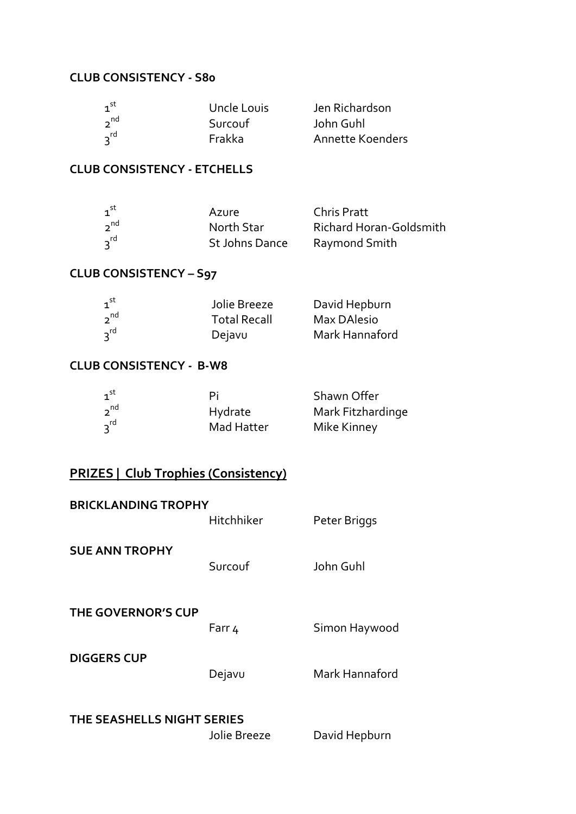#### **CLUB CONSISTENCY - S80**

| $\mathbf{1}^{\mathsf{st}}$ | Uncle Louis | Jen Richardson   |
|----------------------------|-------------|------------------|
| $2^{nd}$                   | Surcouf     | John Guhl        |
| $3^{rd}$                   | Frakka      | Annette Koenders |

# **CLUB CONSISTENCY - ETCHELLS**

| $\tau^{\text{st}}$ | Azure          | <b>Chris Pratt</b>      |
|--------------------|----------------|-------------------------|
| $2^{nd}$           | North Star     | Richard Horan-Goldsmith |
| $2^{\text{rd}}$    | St Johns Dance | Raymond Smith           |

# **CLUB CONSISTENCY – S97**

| $1^{\text{st}}$ | Jolie Breeze        | David Hepburn  |
|-----------------|---------------------|----------------|
| $2^{nd}$        | <b>Total Recall</b> | Max DAlesio    |
| $3^{rd}$        | Dejavu              | Mark Hannaford |

#### **CLUB CONSISTENCY - B-W8**

| $1^{\text{st}}$ | Ρi         | Shawn Offer       |
|-----------------|------------|-------------------|
| $2^{nd}$        | Hydrate    | Mark Fitzhardinge |
| $3^{rd}$        | Mad Hatter | Mike Kinney       |

# **PRIZES | Club Trophies (Consistency)**

| <b>BRICKLANDING TROPHY</b> | Hitchhiker | Peter Briggs   |  |
|----------------------------|------------|----------------|--|
| <b>SUE ANN TROPHY</b>      | Surcouf    | John Guhl      |  |
| <b>THE GOVERNOR'S CUP</b>  | Farr 4     | Simon Haywood  |  |
| <b>DIGGERS CUP</b>         | Dejavu     | Mark Hannaford |  |
| THE SEASHELLS NIGHT SERIES |            |                |  |

Jolie Breeze David Hepburn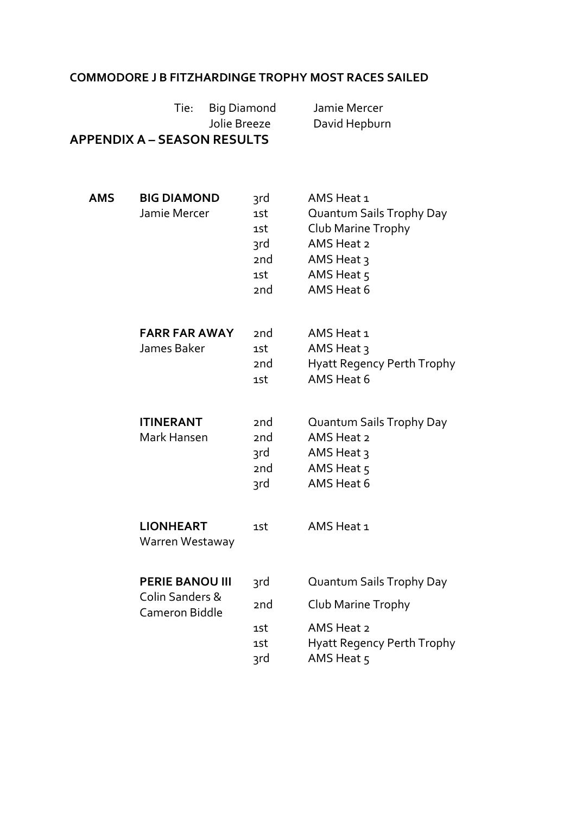## **COMMODORE J B FITZHARDINGE TROPHY MOST RACES SAILED**

|            | <b>Big Diamond</b><br>Tie:<br>Jolie Breeze<br><b>APPENDIX A - SEASON RESULTS</b> |                                                                       | Jamie Mercer<br>David Hepburn                                                                                                    |
|------------|----------------------------------------------------------------------------------|-----------------------------------------------------------------------|----------------------------------------------------------------------------------------------------------------------------------|
| <b>AMS</b> | <b>BIG DIAMOND</b><br>Jamie Mercer                                               | 3rd<br>1st<br>1st<br>3rd<br>2 <sub>nd</sub><br>1st<br>2 <sub>nd</sub> | AMS Heat 1<br>Quantum Sails Trophy Day<br>Club Marine Trophy<br>AMS Heat 2<br>AMS Heat $\frac{1}{3}$<br>AMS Heat 5<br>AMS Heat 6 |
|            | <b>FARR FAR AWAY</b><br>James Baker                                              | 2 <sub>nd</sub><br>1st<br>2 <sub>nd</sub><br>1st                      | AMS Heat 1<br>AMS Heat $\frac{1}{3}$<br><b>Hyatt Regency Perth Trophy</b><br>AMS Heat 6                                          |
|            | <b>ITINERANT</b><br>Mark Hansen                                                  | 2nd<br>2 <sub>nd</sub><br>3rd<br>2 <sub>nd</sub><br>3rd               | Quantum Sails Trophy Day<br>AMS Heat 2<br>AMS Heat 3<br>AMS Heat 5<br>AMS Heat 6                                                 |
|            | <b>LIONHEART</b><br>Warren Westaway                                              | 1st                                                                   | AMS Heat 1                                                                                                                       |
|            | <b>PERIE BANOU III</b><br>Colin Sanders &<br><b>Cameron Biddle</b>               | 3rd<br>2nd<br>1st<br>1st<br>3rd                                       | Quantum Sails Trophy Day<br>Club Marine Trophy<br>AMS Heat 2<br>Hyatt Regency Perth Trophy<br>AMS Heat 5                         |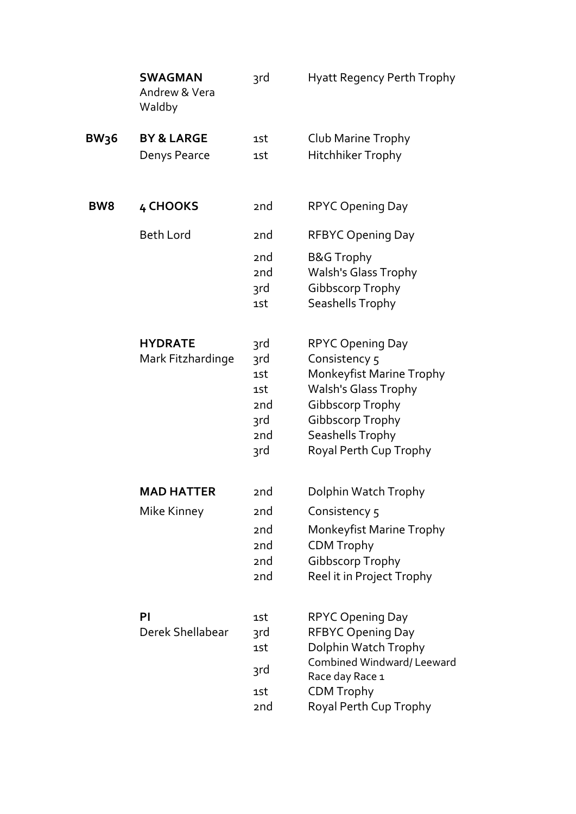|                 | <b>SWAGMAN</b><br>Andrew & Vera<br>Waldby | 3rd                                                                             | Hyatt Regency Perth Trophy                                                                                                                                                                       |
|-----------------|-------------------------------------------|---------------------------------------------------------------------------------|--------------------------------------------------------------------------------------------------------------------------------------------------------------------------------------------------|
| <b>BW36</b>     | <b>BY &amp; LARGE</b><br>Denys Pearce     | 1st<br>1st                                                                      | Club Marine Trophy<br><b>Hitchhiker Trophy</b>                                                                                                                                                   |
| BW <sub>8</sub> | 4 CHOOKS                                  | 2 <sub>nd</sub>                                                                 | <b>RPYC Opening Day</b>                                                                                                                                                                          |
|                 | <b>Beth Lord</b>                          | 2 <sub>nd</sub>                                                                 | <b>RFBYC Opening Day</b>                                                                                                                                                                         |
|                 |                                           | 2 <sub>nd</sub><br>2 <sub>nd</sub><br>3rd<br>1st                                | <b>B&amp;G Trophy</b><br><b>Walsh's Glass Trophy</b><br>Gibbscorp Trophy<br><b>Seashells Trophy</b>                                                                                              |
|                 | <b>HYDRATE</b><br>Mark Fitzhardinge       | 3rd<br>3rd<br>1st<br>1st<br>2 <sub>nd</sub><br>3rd<br>2 <sub>nd</sub><br>3rd    | <b>RPYC Opening Day</b><br>Consistency 5<br>Monkeyfist Marine Trophy<br><b>Walsh's Glass Trophy</b><br>Gibbscorp Trophy<br>Gibbscorp Trophy<br><b>Seashells Trophy</b><br>Royal Perth Cup Trophy |
|                 | <b>MAD HATTER</b>                         | 2 <sub>nd</sub>                                                                 | Dolphin Watch Trophy                                                                                                                                                                             |
|                 | Mike Kinney                               | 2 <sub>nd</sub><br>2 <sub>nd</sub><br>2nd<br>2 <sub>nd</sub><br>2 <sub>nd</sub> | Consistency 5<br>Monkeyfist Marine Trophy<br><b>CDM Trophy</b><br><b>Gibbscorp Trophy</b><br>Reel it in Project Trophy                                                                           |
|                 | PI<br>Derek Shellabear                    | 1st<br>3rd<br>1st                                                               | <b>RPYC Opening Day</b><br><b>RFBYC Opening Day</b><br>Dolphin Watch Trophy                                                                                                                      |
|                 |                                           | 3rd                                                                             | Combined Windward/Leeward<br>Race day Race 1                                                                                                                                                     |
|                 |                                           | 1st<br>2nd                                                                      | <b>CDM Trophy</b><br>Royal Perth Cup Trophy                                                                                                                                                      |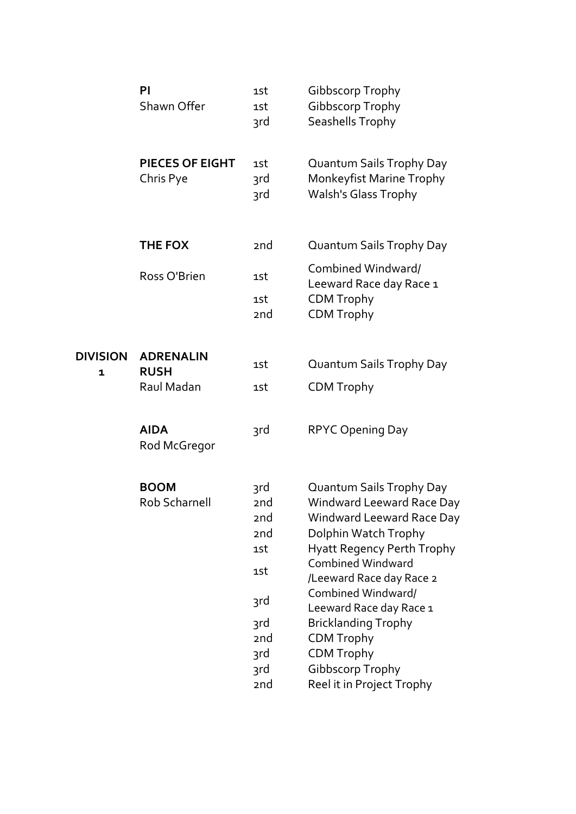|                 | PI<br>Shawn Offer                   | 1st<br>1st<br>3rd                                                                            | Gibbscorp Trophy<br>Gibbscorp Trophy<br>Seashells Trophy                                                                                                                                                                                                                                                                                                                                               |
|-----------------|-------------------------------------|----------------------------------------------------------------------------------------------|--------------------------------------------------------------------------------------------------------------------------------------------------------------------------------------------------------------------------------------------------------------------------------------------------------------------------------------------------------------------------------------------------------|
|                 | <b>PIECES OF EIGHT</b><br>Chris Pye | 1st<br>3rd<br>3rd                                                                            | Quantum Sails Trophy Day<br>Monkeyfist Marine Trophy<br><b>Walsh's Glass Trophy</b>                                                                                                                                                                                                                                                                                                                    |
|                 | <b>THE FOX</b>                      | 2nd                                                                                          | Quantum Sails Trophy Day                                                                                                                                                                                                                                                                                                                                                                               |
|                 | Ross O'Brien                        | 1st                                                                                          | Combined Windward/                                                                                                                                                                                                                                                                                                                                                                                     |
|                 |                                     | 1st<br>2nd                                                                                   | Leeward Race day Race 1<br><b>CDM Trophy</b><br><b>CDM Trophy</b>                                                                                                                                                                                                                                                                                                                                      |
| <b>DIVISION</b> | <b>ADRENALIN</b>                    | 1st                                                                                          | Quantum Sails Trophy Day                                                                                                                                                                                                                                                                                                                                                                               |
| $\mathbf{1}$    | <b>RUSH</b><br>Raul Madan           | 1st                                                                                          | <b>CDM Trophy</b>                                                                                                                                                                                                                                                                                                                                                                                      |
|                 | <b>AIDA</b><br>Rod McGregor         | 3rd                                                                                          | <b>RPYC Opening Day</b>                                                                                                                                                                                                                                                                                                                                                                                |
|                 | <b>BOOM</b><br>Rob Scharnell        | 3rd<br>2 <sub>nd</sub><br>2nd<br>2nd<br>1st<br>1st<br>3rd<br>3rd<br>2nd<br>3rd<br>3rd<br>2nd | Quantum Sails Trophy Day<br><b>Windward Leeward Race Day</b><br><b>Windward Leeward Race Day</b><br>Dolphin Watch Trophy<br><b>Hyatt Regency Perth Trophy</b><br><b>Combined Windward</b><br>/Leeward Race day Race 2<br>Combined Windward/<br>Leeward Race day Race 1<br><b>Bricklanding Trophy</b><br><b>CDM Trophy</b><br><b>CDM Trophy</b><br><b>Gibbscorp Trophy</b><br>Reel it in Project Trophy |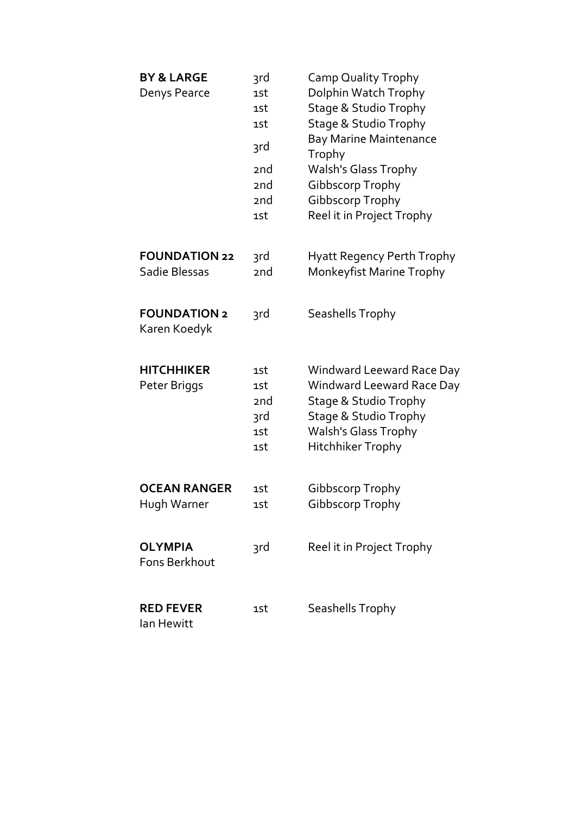| <b>BY &amp; LARGE</b><br>Denys Pearce | 3rd<br>1st<br>1st<br>1st<br>3rd<br>2nd<br>2nd<br>2 <sub>nd</sub><br>1st | <b>Camp Quality Trophy</b><br>Dolphin Watch Trophy<br><b>Stage &amp; Studio Trophy</b><br>Stage & Studio Trophy<br><b>Bay Marine Maintenance</b><br>Trophy<br><b>Walsh's Glass Trophy</b><br>Gibbscorp Trophy<br>Gibbscorp Trophy<br>Reel it in Project Trophy |
|---------------------------------------|-------------------------------------------------------------------------|----------------------------------------------------------------------------------------------------------------------------------------------------------------------------------------------------------------------------------------------------------------|
| <b>FOUNDATION 22</b><br>Sadie Blessas | 3rd<br>2nd                                                              | Hyatt Regency Perth Trophy<br><b>Monkeyfist Marine Trophy</b>                                                                                                                                                                                                  |
| <b>FOUNDATION 2</b><br>Karen Koedyk   | 3rd                                                                     | Seashells Trophy                                                                                                                                                                                                                                               |
| <b>HITCHHIKER</b><br>Peter Briggs     | 1st<br>1st<br>2 <sub>nd</sub><br>3rd<br>1st<br>1st                      | Windward Leeward Race Day<br>Windward Leeward Race Day<br>Stage & Studio Trophy<br><b>Stage &amp; Studio Trophy</b><br><b>Walsh's Glass Trophy</b><br><b>Hitchhiker Trophy</b>                                                                                 |
| <b>OCEAN RANGER</b><br>Hugh Warner    | 1st<br>1st                                                              | Gibbscorp Trophy<br>Gibbscorp Trophy                                                                                                                                                                                                                           |
| <b>OLYMPIA</b><br>Fons Berkhout       | 3rd                                                                     | Reel it in Project Trophy                                                                                                                                                                                                                                      |
| <b>RED FEVER</b><br>lan Hewitt        | 1st                                                                     | Seashells Trophy                                                                                                                                                                                                                                               |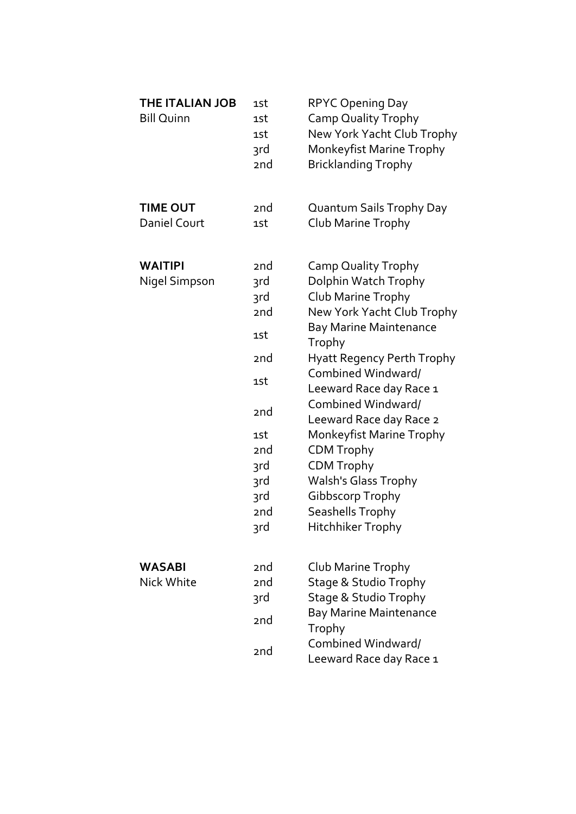| <b>THE ITALIAN JOB</b><br><b>Bill Quinn</b> | 1st<br>1st<br>1st<br>3rd<br>2nd                                                                                   | <b>RPYC Opening Day</b><br><b>Camp Quality Trophy</b><br>New York Yacht Club Trophy<br>Monkeyfist Marine Trophy<br><b>Bricklanding Trophy</b>                                                                                                                                                                                                                                                                                                                     |
|---------------------------------------------|-------------------------------------------------------------------------------------------------------------------|-------------------------------------------------------------------------------------------------------------------------------------------------------------------------------------------------------------------------------------------------------------------------------------------------------------------------------------------------------------------------------------------------------------------------------------------------------------------|
| <b>TIME OUT</b><br>Daniel Court             | 2nd<br>1st                                                                                                        | Quantum Sails Trophy Day<br>Club Marine Trophy                                                                                                                                                                                                                                                                                                                                                                                                                    |
| <b>WAITIPI</b><br>Nigel Simpson             | 2nd<br>3rd<br>3rd<br>2nd<br>1st<br>2nd<br>1st<br>2 <sub>nd</sub><br>1st<br>2nd<br>3rd<br>3rd<br>3rd<br>2nd<br>3rd | Camp Quality Trophy<br>Dolphin Watch Trophy<br>Club Marine Trophy<br>New York Yacht Club Trophy<br><b>Bay Marine Maintenance</b><br>Trophy<br><b>Hyatt Regency Perth Trophy</b><br>Combined Windward/<br>Leeward Race day Race 1<br>Combined Windward/<br>Leeward Race day Race 2<br>Monkeyfist Marine Trophy<br><b>CDM Trophy</b><br><b>CDM Trophy</b><br><b>Walsh's Glass Trophy</b><br>Gibbscorp Trophy<br><b>Seashells Trophy</b><br><b>Hitchhiker Trophy</b> |
| <b>WASABI</b><br>Nick White                 | 2nd<br>2 <sub>nd</sub><br>3rd<br>2nd<br>2nd                                                                       | Club Marine Trophy<br>Stage & Studio Trophy<br><b>Stage &amp; Studio Trophy</b><br><b>Bay Marine Maintenance</b><br>Trophy<br>Combined Windward/<br>Leeward Race day Race 1                                                                                                                                                                                                                                                                                       |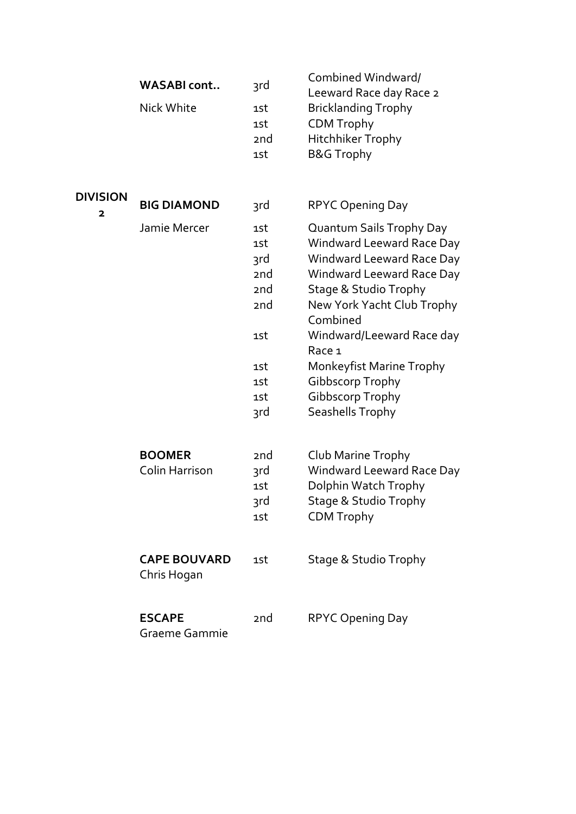|                 | <b>WASABI</b> cont                 | 3rd             | Combined Windward/<br>Leeward Race day Race 2 |
|-----------------|------------------------------------|-----------------|-----------------------------------------------|
|                 | Nick White                         | 1st             | <b>Bricklanding Trophy</b>                    |
|                 |                                    | 1st             | <b>CDM Trophy</b>                             |
|                 |                                    | 2 <sub>nd</sub> | <b>Hitchhiker Trophy</b>                      |
|                 |                                    | 1st             | <b>B&amp;G Trophy</b>                         |
|                 |                                    |                 |                                               |
| <b>DIVISION</b> | <b>BIG DIAMOND</b>                 | 3rd             | <b>RPYC Opening Day</b>                       |
| $\mathbf{2}$    |                                    |                 |                                               |
|                 | Jamie Mercer                       | 1st             | Quantum Sails Trophy Day                      |
|                 |                                    | 1st             | <b>Windward Leeward Race Day</b>              |
|                 |                                    | 3rd             | <b>Windward Leeward Race Day</b>              |
|                 |                                    | 2nd             | Windward Leeward Race Day                     |
|                 |                                    | 2 <sub>nd</sub> | Stage & Studio Trophy                         |
|                 |                                    | 2 <sub>nd</sub> | New York Yacht Club Trophy                    |
|                 |                                    |                 | Combined                                      |
|                 |                                    | 1st             | Windward/Leeward Race day<br>Race 1           |
|                 |                                    | 1st             | Monkeyfist Marine Trophy                      |
|                 |                                    | 1st             | <b>Gibbscorp Trophy</b>                       |
|                 |                                    | 1st             | Gibbscorp Trophy                              |
|                 |                                    | 3rd             | Seashells Trophy                              |
|                 |                                    |                 |                                               |
|                 | <b>BOOMER</b>                      | 2 <sub>nd</sub> | Club Marine Trophy                            |
|                 | Colin Harrison                     | 3rd             | Windward Leeward Race Day                     |
|                 |                                    | 1st             | Dolphin Watch Trophy                          |
|                 |                                    | 3rd             | Stage & Studio Trophy                         |
|                 |                                    | 1st             | <b>CDM Trophy</b>                             |
|                 |                                    |                 |                                               |
|                 | <b>CAPE BOUVARD</b><br>Chris Hogan | 1st             | Stage & Studio Trophy                         |
|                 |                                    |                 |                                               |
|                 | <b>ESCAPE</b><br>Graeme Gammie     | 2 <sub>nd</sub> | <b>RPYC Opening Day</b>                       |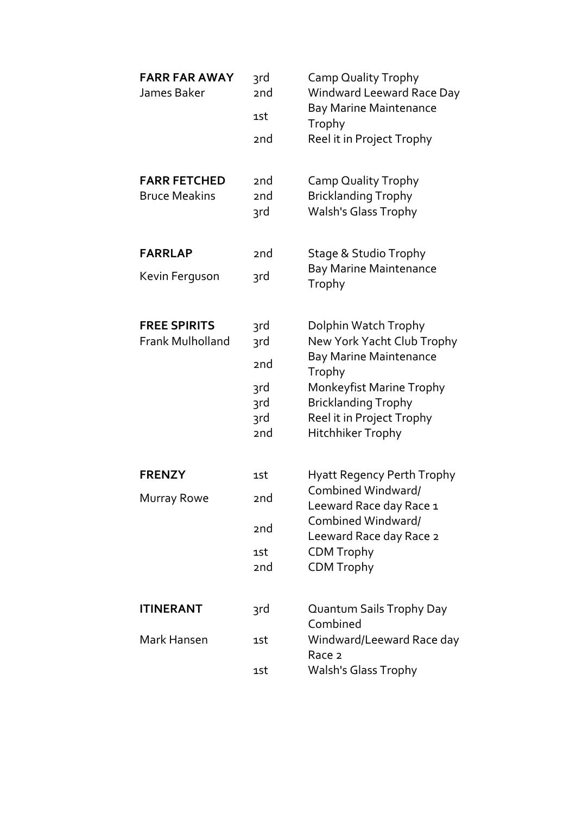| <b>FARR FAR AWAY</b><br>James Baker            | 3rd<br>2nd<br>1st<br>2 <sub>nd</sub>      | <b>Camp Quality Trophy</b><br>Windward Leeward Race Day<br><b>Bay Marine Maintenance</b><br>Trophy<br>Reel it in Project Trophy |
|------------------------------------------------|-------------------------------------------|---------------------------------------------------------------------------------------------------------------------------------|
| <b>FARR FETCHED</b><br><b>Bruce Meakins</b>    | 2 <sub>nd</sub><br>2 <sub>nd</sub><br>3rd | <b>Camp Quality Trophy</b><br><b>Bricklanding Trophy</b><br>Walsh's Glass Trophy                                                |
| <b>FARRLAP</b>                                 | 2 <sub>nd</sub>                           | <b>Stage &amp; Studio Trophy</b>                                                                                                |
| Kevin Ferguson                                 | 3rd                                       | <b>Bay Marine Maintenance</b><br>Trophy                                                                                         |
| <b>FREE SPIRITS</b><br><b>Frank Mulholland</b> | <b>3rd</b><br>3rd                         | Dolphin Watch Trophy<br>New York Yacht Club Trophy                                                                              |
| 2nd                                            |                                           | <b>Bay Marine Maintenance</b><br>Trophy                                                                                         |
|                                                | 3rd                                       | Monkeyfist Marine Trophy                                                                                                        |
|                                                | 3rd<br>3rd                                | <b>Bricklanding Trophy</b><br>Reel it in Project Trophy                                                                         |
|                                                | 2nd                                       | Hitchhiker Trophy                                                                                                               |
| <b>FRENZY</b>                                  | 1st                                       | <b>Hyatt Regency Perth Trophy</b>                                                                                               |
| <b>Murray Rowe</b>                             | 2nd                                       | Combined Windward/<br>Leeward Race day Race 1                                                                                   |
|                                                | 2nd                                       | Combined Windward/<br>Leeward Race day Race 2                                                                                   |
|                                                | 1st                                       | <b>CDM Trophy</b>                                                                                                               |
|                                                | 2nd                                       | <b>CDM Trophy</b>                                                                                                               |
| <b>ITINERANT</b>                               | 3rd                                       | Quantum Sails Trophy Day<br>Combined                                                                                            |
| Mark Hansen                                    | 1st                                       | Windward/Leeward Race day<br>Race 2                                                                                             |
|                                                | 1st                                       | <b>Walsh's Glass Trophy</b>                                                                                                     |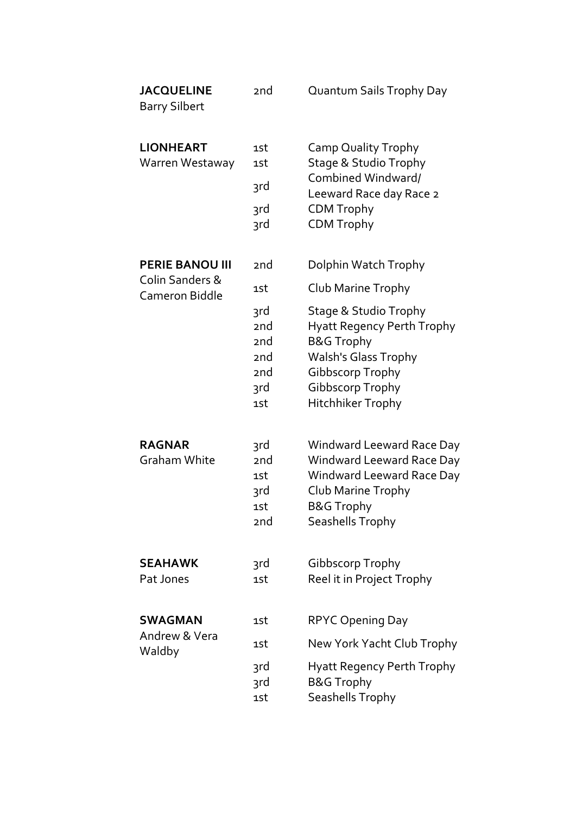| <b>JACQUELINE</b><br><b>Barry Silbert</b> | 2nd                                                                                           | Quantum Sails Trophy Day                                                                                                                                                                   |
|-------------------------------------------|-----------------------------------------------------------------------------------------------|--------------------------------------------------------------------------------------------------------------------------------------------------------------------------------------------|
| <b>LIONHEART</b><br>Warren Westaway       | 1st<br>1st<br>3rd<br>3rd<br>3rd                                                               | Camp Quality Trophy<br><b>Stage &amp; Studio Trophy</b><br>Combined Windward/<br>Leeward Race day Race 2<br><b>CDM Trophy</b><br><b>CDM Trophy</b>                                         |
| <b>PERIE BANOU III</b><br>Colin Sanders & | 2 <sub>nd</sub>                                                                               | Dolphin Watch Trophy                                                                                                                                                                       |
| <b>Cameron Biddle</b>                     | 1st                                                                                           | Club Marine Trophy                                                                                                                                                                         |
|                                           | 3rd<br>2 <sub>nd</sub><br>2 <sub>nd</sub><br>2 <sub>nd</sub><br>2 <sub>nd</sub><br>3rd<br>1st | <b>Stage &amp; Studio Trophy</b><br><b>Hyatt Regency Perth Trophy</b><br><b>B&amp;G Trophy</b><br><b>Walsh's Glass Trophy</b><br>Gibbscorp Trophy<br>Gibbscorp Trophy<br>Hitchhiker Trophy |
| <b>RAGNAR</b><br><b>Graham White</b>      | 3rd<br>2 <sub>nd</sub><br>1st<br>3rd<br>1st<br>2nd                                            | <b>Windward Leeward Race Day</b><br>Windward Leeward Race Day<br><b>Windward Leeward Race Day</b><br>Club Marine Trophy<br><b>B&amp;G Trophy</b><br>Seashells Trophy                       |
| <b>SEAHAWK</b><br>Pat Jones               | 3rd<br>1st                                                                                    | <b>Gibbscorp Trophy</b><br>Reel it in Project Trophy                                                                                                                                       |
| <b>SWAGMAN</b>                            | 1st                                                                                           | <b>RPYC Opening Day</b>                                                                                                                                                                    |
| Andrew & Vera<br>Waldby                   | 1st                                                                                           | New York Yacht Club Trophy                                                                                                                                                                 |
|                                           | 3rd<br>3rd<br>1st                                                                             | <b>Hyatt Regency Perth Trophy</b><br><b>B&amp;G Trophy</b><br>Seashells Trophy                                                                                                             |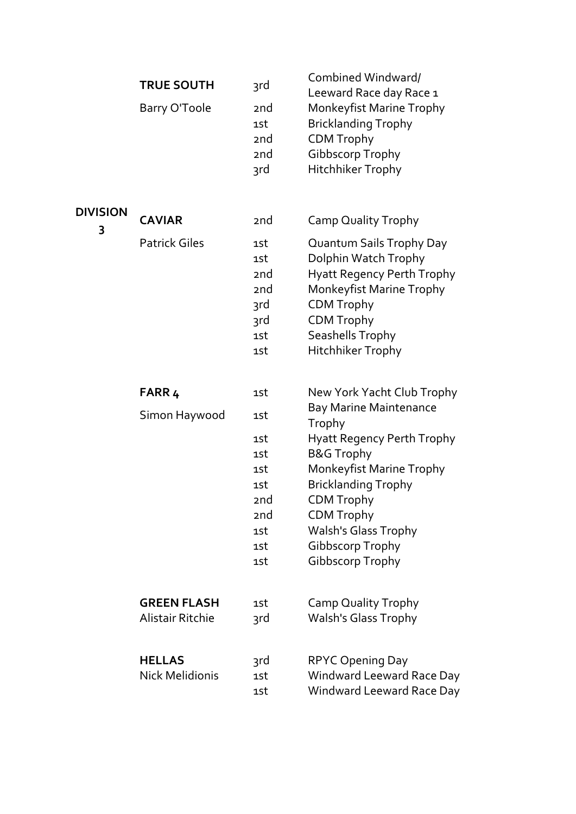| <b>TRUE SOUTH</b><br>Barry O'Toole                                                       | 3rd<br>2 <sub>nd</sub><br>1st<br>2 <sub>nd</sub><br>2 <sub>nd</sub><br>3rd                      | Combined Windward/<br>Leeward Race day Race 1<br>Monkeyfist Marine Trophy<br><b>Bricklanding Trophy</b><br><b>CDM Trophy</b><br><b>Gibbscorp Trophy</b><br>Hitchhiker Trophy                                                                                                                                          |
|------------------------------------------------------------------------------------------|-------------------------------------------------------------------------------------------------|-----------------------------------------------------------------------------------------------------------------------------------------------------------------------------------------------------------------------------------------------------------------------------------------------------------------------|
| <b>CAVIAR</b><br><b>Patrick Giles</b>                                                    | 2 <sub>nd</sub><br>1st<br>1st<br>2 <sub>nd</sub><br>2 <sub>nd</sub><br>3rd<br>3rd<br>1st<br>1st | Camp Quality Trophy<br>Quantum Sails Trophy Day<br>Dolphin Watch Trophy<br><b>Hyatt Regency Perth Trophy</b><br>Monkeyfist Marine Trophy<br><b>CDM Trophy</b><br><b>CDM Trophy</b><br>Seashells Trophy<br><b>Hitchhiker Trophy</b>                                                                                    |
| FARR <sub>4</sub><br>Simon Haywood                                                       | 1st<br>1st<br>1st<br>1st<br>1st<br>1st<br>2nd<br>2 <sub>nd</sub><br>1st<br>1st<br>1st           | New York Yacht Club Trophy<br><b>Bay Marine Maintenance</b><br>Trophy<br><b>Hyatt Regency Perth Trophy</b><br><b>B&amp;G Trophy</b><br>Monkeyfist Marine Trophy<br><b>Bricklanding Trophy</b><br><b>CDM Trophy</b><br><b>CDM Trophy</b><br><b>Walsh's Glass Trophy</b><br>Gibbscorp Trophy<br><b>Gibbscorp Trophy</b> |
| <b>GREEN FLASH</b><br><b>Alistair Ritchie</b><br><b>HELLAS</b><br><b>Nick Melidionis</b> | 1st<br>3rd<br>3rd<br>1st                                                                        | Camp Quality Trophy<br><b>Walsh's Glass Trophy</b><br><b>RPYC Opening Day</b><br>Windward Leeward Race Day                                                                                                                                                                                                            |
|                                                                                          |                                                                                                 | 1st                                                                                                                                                                                                                                                                                                                   |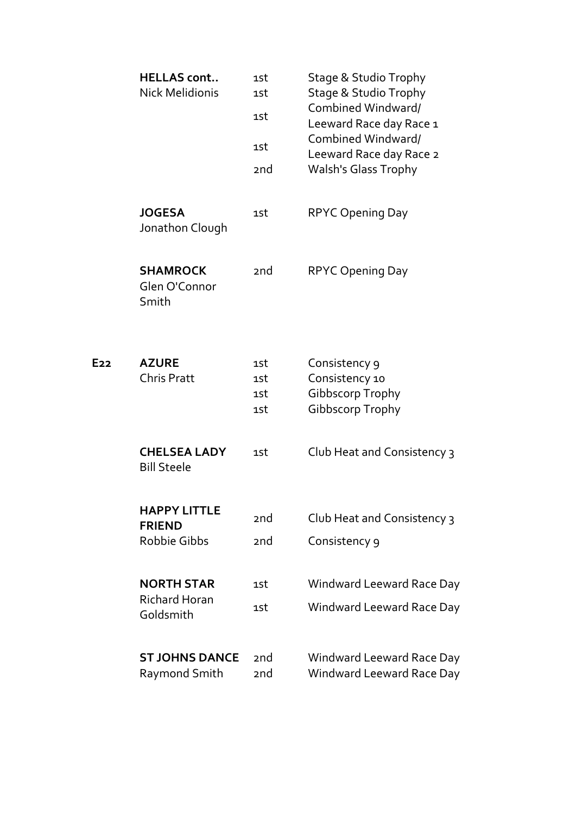|                 | <b>HELLAS cont</b><br><b>Nick Melidionis</b>                | 1st<br>1st<br>1st<br>1st<br>2 <sub>nd</sub> | Stage & Studio Trophy<br><b>Stage &amp; Studio Trophy</b><br>Combined Windward/<br>Leeward Race day Race 1<br>Combined Windward/<br>Leeward Race day Race 2<br><b>Walsh's Glass Trophy</b> |
|-----------------|-------------------------------------------------------------|---------------------------------------------|--------------------------------------------------------------------------------------------------------------------------------------------------------------------------------------------|
|                 | <b>JOGESA</b><br>Jonathon Clough                            | 1st                                         | <b>RPYC Opening Day</b>                                                                                                                                                                    |
|                 | <b>SHAMROCK</b><br>Glen O'Connor<br>Smith                   | 2 <sub>nd</sub>                             | <b>RPYC Opening Day</b>                                                                                                                                                                    |
| E <sub>22</sub> | <b>AZURE</b><br><b>Chris Pratt</b>                          | 1st<br>1st<br>1st<br>1st                    | Consistency 9<br>Consistency 10<br>Gibbscorp Trophy<br><b>Gibbscorp Trophy</b>                                                                                                             |
|                 | <b>CHELSEA LADY</b><br><b>Bill Steele</b>                   | 1st                                         | Club Heat and Consistency 3                                                                                                                                                                |
|                 | <b>HAPPY LITTLE</b><br><b>FRIEND</b><br><b>Robbie Gibbs</b> | 2nd<br>2 <sub>nd</sub>                      | Club Heat and Consistency 3<br>Consistency 9                                                                                                                                               |
|                 | <b>NORTH STAR</b><br><b>Richard Horan</b><br>Goldsmith      | 1st<br>1st                                  | Windward Leeward Race Day<br>Windward Leeward Race Day                                                                                                                                     |
|                 | <b>ST JOHNS DANCE</b><br>Raymond Smith                      | 2 <sub>nd</sub><br>2 <sub>nd</sub>          | Windward Leeward Race Day<br>Windward Leeward Race Day                                                                                                                                     |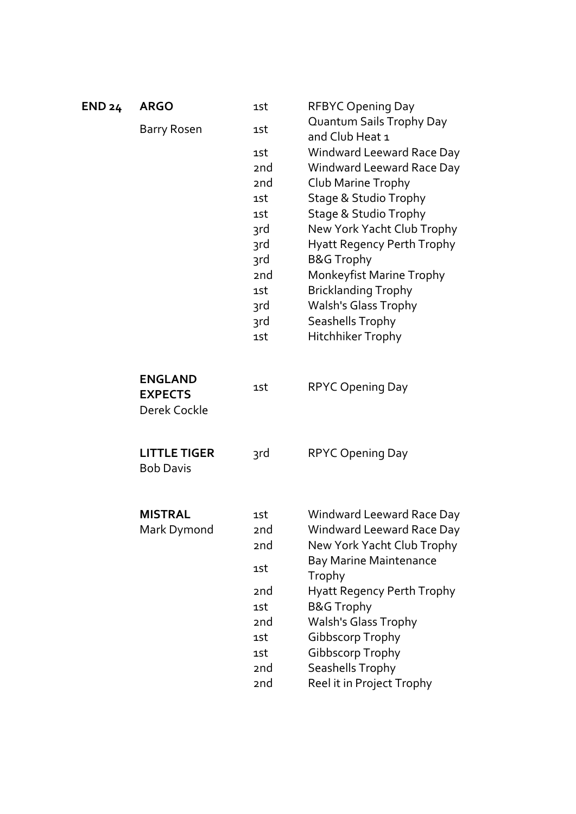| <b>END 24</b> | <b>ARGO</b>                                      | 1st             | <b>RFBYC Opening Day</b>                    |
|---------------|--------------------------------------------------|-----------------|---------------------------------------------|
|               | Barry Rosen                                      | 1st             | Quantum Sails Trophy Day<br>and Club Heat 1 |
|               |                                                  | 1st             | Windward Leeward Race Day                   |
|               |                                                  | 2 <sub>nd</sub> | Windward Leeward Race Day                   |
|               |                                                  | 2 <sub>nd</sub> | Club Marine Trophy                          |
|               |                                                  | 1st             | Stage & Studio Trophy                       |
|               |                                                  | 1st             | <b>Stage &amp; Studio Trophy</b>            |
|               |                                                  | 3rd             | New York Yacht Club Trophy                  |
|               |                                                  | 3rd             | <b>Hyatt Regency Perth Trophy</b>           |
|               |                                                  | 3rd             | <b>B&amp;G Trophy</b>                       |
|               |                                                  | 2nd             | Monkeyfist Marine Trophy                    |
|               |                                                  | 1st             | <b>Bricklanding Trophy</b>                  |
|               |                                                  | 3rd             | <b>Walsh's Glass Trophy</b>                 |
|               |                                                  | 3rd             | Seashells Trophy                            |
|               |                                                  | 1st             | Hitchhiker Trophy                           |
|               | <b>ENGLAND</b><br><b>EXPECTS</b><br>Derek Cockle | 1st             | <b>RPYC Opening Day</b>                     |
|               | <b>LITTLE TIGER</b><br><b>Bob Davis</b>          | 3rd             | <b>RPYC Opening Day</b>                     |
|               | <b>MISTRAL</b>                                   | 1st             | Windward Leeward Race Day                   |
|               | Mark Dymond                                      | 2nd             | Windward Leeward Race Day                   |
|               |                                                  | 2nd             | New York Yacht Club Trophy                  |
|               |                                                  | 1st             | <b>Bay Marine Maintenance</b><br>Trophy     |
|               |                                                  | 2 <sub>nd</sub> | <b>Hyatt Regency Perth Trophy</b>           |
|               |                                                  | 1st             | <b>B&amp;G Trophy</b>                       |
|               |                                                  | 2nd             | <b>Walsh's Glass Trophy</b>                 |
|               |                                                  | 1st             | Gibbscorp Trophy                            |
|               |                                                  | 1st             | Gibbscorp Trophy                            |
|               |                                                  | 2nd             | Seashells Trophy                            |
|               |                                                  | 2nd             | Reel it in Project Trophy                   |
|               |                                                  |                 |                                             |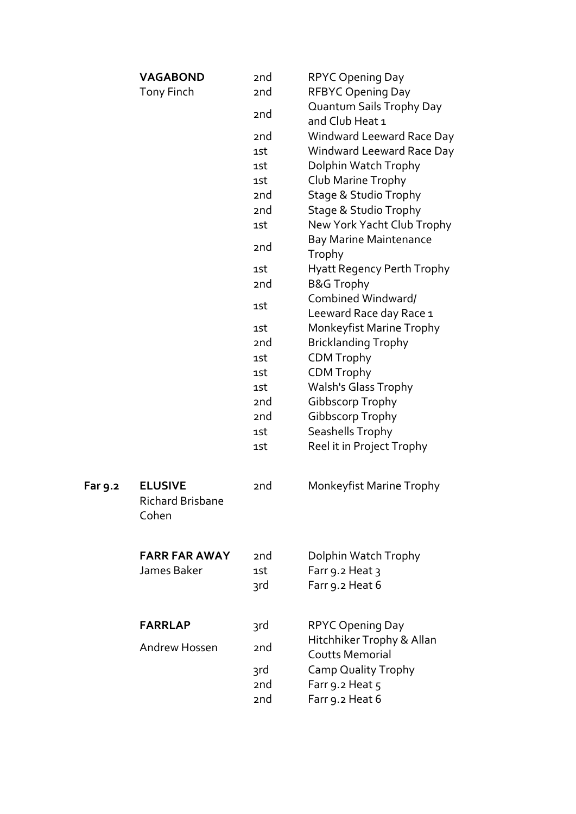|         | <b>VAGABOND</b><br><b>Tony Finch</b>               | 2 <sub>nd</sub><br>2nd | <b>RPYC Opening Day</b><br><b>RFBYC Opening Day</b> |
|---------|----------------------------------------------------|------------------------|-----------------------------------------------------|
|         |                                                    | 2 <sub>nd</sub>        | Quantum Sails Trophy Day<br>and Club Heat 1         |
|         |                                                    | 2 <sub>nd</sub>        | Windward Leeward Race Day                           |
|         |                                                    | 1st                    | Windward Leeward Race Day                           |
|         |                                                    | 1st                    | Dolphin Watch Trophy                                |
|         |                                                    | 1st                    | Club Marine Trophy                                  |
|         |                                                    | 2 <sub>nd</sub>        | <b>Stage &amp; Studio Trophy</b>                    |
|         |                                                    | 2 <sub>nd</sub>        | <b>Stage &amp; Studio Trophy</b>                    |
|         |                                                    | 1st                    | New York Yacht Club Trophy                          |
|         |                                                    | 2nd                    | <b>Bay Marine Maintenance</b><br>Trophy             |
|         |                                                    | 1st                    | <b>Hyatt Regency Perth Trophy</b>                   |
|         |                                                    | 2 <sub>nd</sub>        | <b>B&amp;G Trophy</b>                               |
|         |                                                    |                        | Combined Windward/                                  |
|         |                                                    | 1st                    | Leeward Race day Race 1                             |
|         |                                                    | 1st                    | Monkeyfist Marine Trophy                            |
|         |                                                    | 2 <sub>nd</sub>        | <b>Bricklanding Trophy</b>                          |
|         |                                                    | 1st                    | <b>CDM Trophy</b>                                   |
|         |                                                    | 1st                    | <b>CDM Trophy</b>                                   |
|         |                                                    | 1st                    | <b>Walsh's Glass Trophy</b>                         |
|         |                                                    | 2 <sub>nd</sub>        | Gibbscorp Trophy                                    |
|         |                                                    | 2 <sub>nd</sub>        | Gibbscorp Trophy                                    |
|         |                                                    | 1st                    | Seashells Trophy                                    |
|         |                                                    | 1st                    | Reel it in Project Trophy                           |
| Far 9.2 | <b>ELUSIVE</b><br><b>Richard Brisbane</b><br>Cohen | 2 <sub>nd</sub>        | Monkeyfist Marine Trophy                            |
|         | <b>FARR FAR AWAY</b>                               | 2 <sub>nd</sub>        | Dolphin Watch Trophy                                |
|         | James Baker                                        | 1st                    | Farr 9.2 Heat 3                                     |
|         |                                                    | 3rd                    | Farr 9.2 Heat 6                                     |
|         | <b>FARRLAP</b>                                     | 3rd                    | RPYC Opening Day                                    |
|         |                                                    |                        | Hitchhiker Trophy & Allan                           |
|         | Andrew Hossen                                      | 2nd                    | <b>Coutts Memorial</b>                              |
|         |                                                    | 3rd                    | <b>Camp Quality Trophy</b>                          |
|         |                                                    | 2nd                    | Farr 9.2 Heat 5                                     |
|         |                                                    | 2 <sub>nd</sub>        | Farr 9.2 Heat 6                                     |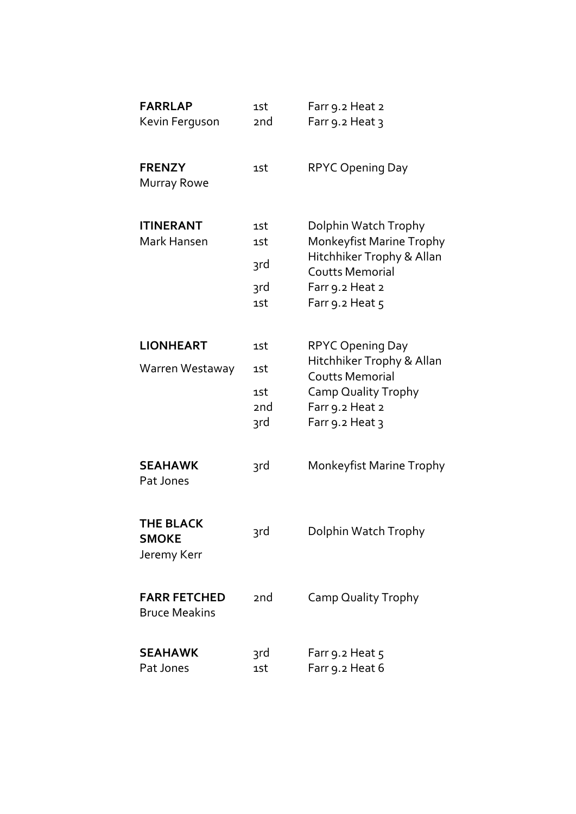| <b>FARRLAP</b><br>Kevin Ferguson                | 1st<br><sub>2</sub> nd          | Farr 9.2 Heat 2<br>Farr 9.2 Heat 3                                                                                                                 |
|-------------------------------------------------|---------------------------------|----------------------------------------------------------------------------------------------------------------------------------------------------|
| <b>FRENZY</b><br><b>Murray Rowe</b>             | 1st                             | <b>RPYC Opening Day</b>                                                                                                                            |
| <b>ITINERANT</b><br>Mark Hansen                 | 1st<br>1st<br>3rd<br>3rd<br>1st | Dolphin Watch Trophy<br>Monkeyfist Marine Trophy<br>Hitchhiker Trophy & Allan<br><b>Coutts Memorial</b><br>Farr 9.2 Heat 2<br>Farr 9.2 Heat 5      |
| <b>LIONHEART</b><br>Warren Westaway             | 1st<br>1st<br>1st<br>2nd<br>3rd | <b>RPYC Opening Day</b><br>Hitchhiker Trophy & Allan<br><b>Coutts Memorial</b><br><b>Camp Quality Trophy</b><br>Farr 9.2 Heat 2<br>Farr 9.2 Heat 3 |
| <b>SEAHAWK</b><br>Pat Jones                     | 3rd                             | Monkeyfist Marine Trophy                                                                                                                           |
| <b>THE BLACK</b><br><b>SMOKE</b><br>Jeremy Kerr | 3rd                             | Dolphin Watch Trophy                                                                                                                               |
| <b>FARR FETCHED</b><br><b>Bruce Meakins</b>     | 2nd                             | <b>Camp Quality Trophy</b>                                                                                                                         |
| <b>SEAHAWK</b><br>Pat Jones                     | 3rd<br>1st                      | Farr 9.2 Heat 5<br>Farr 9.2 Heat 6                                                                                                                 |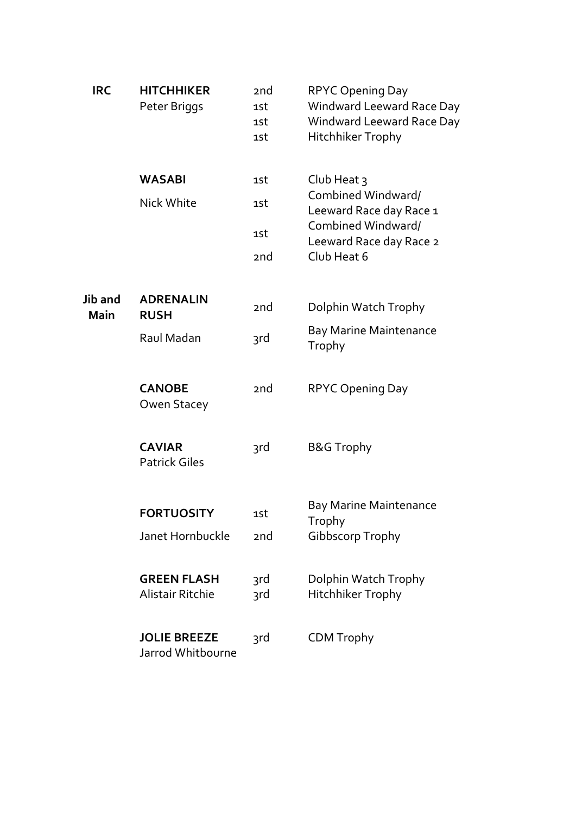| <b>IRC</b>      | <b>HITCHHIKER</b><br>Peter Briggs             | 2 <sub>nd</sub><br>1st<br>1st<br>1st | <b>RPYC Opening Day</b><br>Windward Leeward Race Day<br><b>Windward Leeward Race Day</b><br><b>Hitchhiker Trophy</b>      |
|-----------------|-----------------------------------------------|--------------------------------------|---------------------------------------------------------------------------------------------------------------------------|
|                 | <b>WASABI</b><br>Nick White                   | 1st<br>1st<br>1st                    | Club Heat $\frac{1}{3}$<br>Combined Windward/<br>Leeward Race day Race 1<br>Combined Windward/<br>Leeward Race day Race 2 |
|                 |                                               | 2 <sub>nd</sub>                      | Club Heat 6                                                                                                               |
| Jib and<br>Main | <b>ADRENALIN</b><br><b>RUSH</b>               | 2nd                                  | Dolphin Watch Trophy                                                                                                      |
|                 | Raul Madan                                    | 3rd                                  | <b>Bay Marine Maintenance</b><br>Trophy                                                                                   |
|                 | <b>CANOBE</b><br>Owen Stacey                  | 2nd                                  | <b>RPYC Opening Day</b>                                                                                                   |
|                 | <b>CAVIAR</b><br><b>Patrick Giles</b>         | 3rd                                  | <b>B&amp;G Trophy</b>                                                                                                     |
|                 | <b>FORTUOSITY</b><br>Janet Hornbuckle         | 1st<br>2nd                           | <b>Bay Marine Maintenance</b><br>Trophy<br><b>Gibbscorp Trophy</b>                                                        |
|                 |                                               |                                      |                                                                                                                           |
|                 | <b>GREEN FLASH</b><br><b>Alistair Ritchie</b> | 3rd<br>3rd                           | Dolphin Watch Trophy<br>Hitchhiker Trophy                                                                                 |
|                 | <b>JOLIE BREEZE</b><br>Jarrod Whitbourne      | 3rd                                  | <b>CDM Trophy</b>                                                                                                         |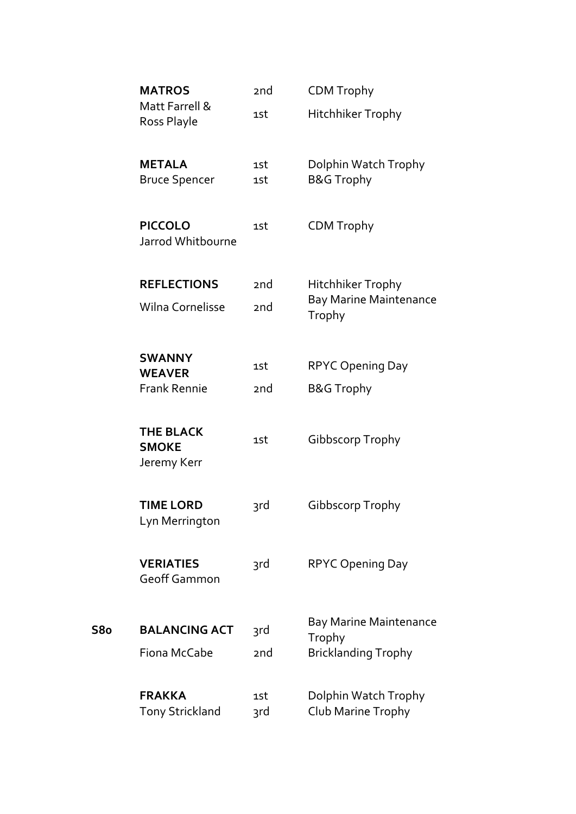|     | <b>MATROS</b>                                   | 2 <sub>nd</sub> | <b>CDM Trophy</b>                                                     |
|-----|-------------------------------------------------|-----------------|-----------------------------------------------------------------------|
|     | Matt Farrell &<br>Ross Playle                   | 1st             | <b>Hitchhiker Trophy</b>                                              |
|     | <b>METALA</b><br><b>Bruce Spencer</b>           | 1st<br>1st      | Dolphin Watch Trophy<br><b>B&amp;G Trophy</b>                         |
|     | <b>PICCOLO</b><br>Jarrod Whitbourne             | 1st             | <b>CDM Trophy</b>                                                     |
|     | <b>REFLECTIONS</b>                              | 2 <sub>nd</sub> | Hitchhiker Trophy                                                     |
|     | <b>Wilna Cornelisse</b>                         | 2 <sub>nd</sub> | <b>Bay Marine Maintenance</b><br>Trophy                               |
|     | <b>SWANNY</b>                                   | 1st             | <b>RPYC Opening Day</b>                                               |
|     | <b>WEAVER</b><br><b>Frank Rennie</b>            | 2 <sub>nd</sub> | <b>B&amp;G Trophy</b>                                                 |
|     | <b>THE BLACK</b><br><b>SMOKE</b><br>Jeremy Kerr | 1st             | Gibbscorp Trophy                                                      |
|     | <b>TIME LORD</b><br>Lyn Merrington              | 3rd             | Gibbscorp Trophy                                                      |
|     | <b>VERIATIES</b><br><b>Geoff Gammon</b>         | 3rd             | <b>RPYC Opening Day</b>                                               |
| S8o | <b>BALANCING ACT</b><br>Fiona McCabe            | 3rd<br>2nd      | <b>Bay Marine Maintenance</b><br>Trophy<br><b>Bricklanding Trophy</b> |
|     | <b>FRAKKA</b><br><b>Tony Strickland</b>         | 1st<br>3rd      | Dolphin Watch Trophy<br>Club Marine Trophy                            |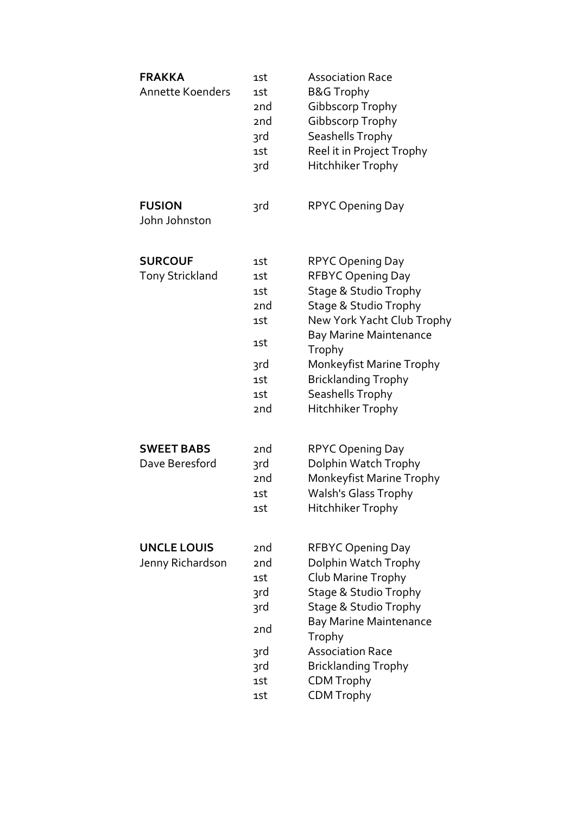| <b>FRAKKA</b><br><b>Annette Koenders</b> | 1st<br>1st<br>2 <sub>nd</sub><br>2 <sub>nd</sub><br>3rd<br>1st<br>3rd                      | <b>Association Race</b><br><b>B&amp;G Trophy</b><br>Gibbscorp Trophy<br>Gibbscorp Trophy<br>Seashells Trophy<br>Reel it in Project Trophy<br><b>Hitchhiker Trophy</b>                                                                                                                                   |
|------------------------------------------|--------------------------------------------------------------------------------------------|---------------------------------------------------------------------------------------------------------------------------------------------------------------------------------------------------------------------------------------------------------------------------------------------------------|
| <b>FUSION</b><br>John Johnston           | 3rd                                                                                        | <b>RPYC Opening Day</b>                                                                                                                                                                                                                                                                                 |
| <b>SURCOUF</b><br><b>Tony Strickland</b> | 1st<br>1st<br>1st<br>2 <sub>nd</sub><br>1st<br>1st<br>3rd<br>1st<br>1st<br>2 <sub>nd</sub> | RPYC Opening Day<br><b>RFBYC Opening Day</b><br><b>Stage &amp; Studio Trophy</b><br><b>Stage &amp; Studio Trophy</b><br>New York Yacht Club Trophy<br><b>Bay Marine Maintenance</b><br>Trophy<br>Monkeyfist Marine Trophy<br><b>Bricklanding Trophy</b><br>Seashells Trophy<br><b>Hitchhiker Trophy</b> |
| <b>SWEET BABS</b><br>Dave Beresford      | 2 <sub>nd</sub><br>3rd<br><sub>2</sub> nd<br>1st<br>1st                                    | <b>RPYC Opening Day</b><br>Dolphin Watch Trophy<br>Monkeyfist Marine Trophy<br>Walsh's Glass Trophy<br>Hitchhiker Trophy                                                                                                                                                                                |
| <b>UNCLE LOUIS</b><br>Jenny Richardson   | 2 <sub>nd</sub><br>2nd<br>1st<br>3rd<br>3rd<br>2 <sub>nd</sub><br>3rd<br>3rd<br>1st<br>1st | RFBYC Opening Day<br>Dolphin Watch Trophy<br>Club Marine Trophy<br>Stage & Studio Trophy<br>Stage & Studio Trophy<br><b>Bay Marine Maintenance</b><br>Trophy<br><b>Association Race</b><br><b>Bricklanding Trophy</b><br><b>CDM Trophy</b><br><b>CDM Trophy</b>                                         |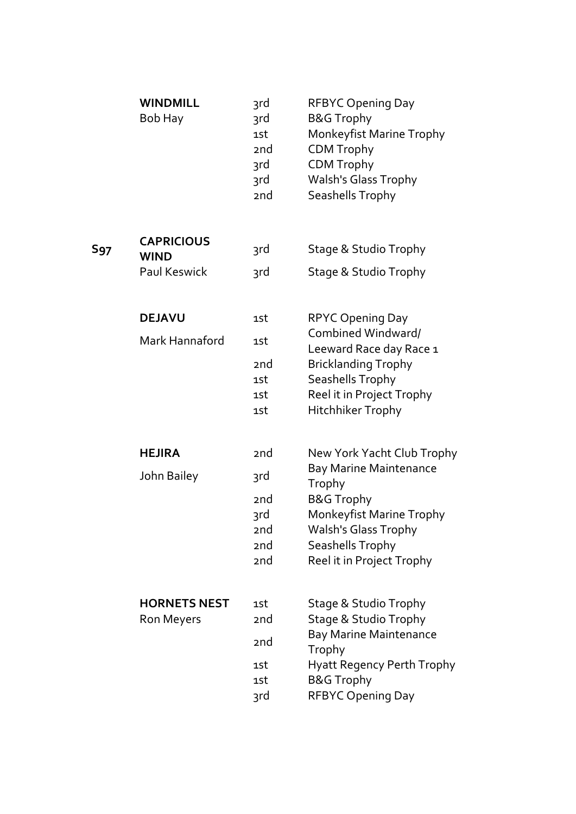|            | <b>WINDMILL</b><br>Bob Hay                       | 3rd<br>3rd<br>1st<br>2 <sub>nd</sub><br>3rd<br>3rd<br>2nd                                     | <b>RFBYC Opening Day</b><br><b>B&amp;G Trophy</b><br>Monkeyfist Marine Trophy<br><b>CDM Trophy</b><br><b>CDM Trophy</b><br><b>Walsh's Glass Trophy</b><br>Seashells Trophy                                 |
|------------|--------------------------------------------------|-----------------------------------------------------------------------------------------------|------------------------------------------------------------------------------------------------------------------------------------------------------------------------------------------------------------|
| <b>S97</b> | <b>CAPRICIOUS</b><br><b>WIND</b><br>Paul Keswick | 3rd<br>3rd                                                                                    | Stage & Studio Trophy<br>Stage & Studio Trophy                                                                                                                                                             |
|            | <b>DEJAVU</b><br>Mark Hannaford                  | 1st<br>1st<br>2 <sub>nd</sub><br>1st<br>1st<br>1st                                            | <b>RPYC Opening Day</b><br>Combined Windward/<br>Leeward Race day Race 1<br><b>Bricklanding Trophy</b><br>Seashells Trophy<br>Reel it in Project Trophy<br>Hitchhiker Trophy                               |
|            | <b>HEJIRA</b><br>John Bailey                     | 2 <sub>nd</sub><br>3rd<br>2 <sub>nd</sub><br>3rd<br>2 <sub>nd</sub><br>2 <sub>nd</sub><br>2nd | New York Yacht Club Trophy<br><b>Bay Marine Maintenance</b><br>Trophy<br><b>B&amp;G Trophy</b><br>Monkeyfist Marine Trophy<br><b>Walsh's Glass Trophy</b><br>Seashells Trophy<br>Reel it in Project Trophy |
|            | <b>HORNETS NEST</b><br>Ron Meyers                | 1st<br>2 <sub>nd</sub><br>2nd<br>1st<br>1st<br>3rd                                            | Stage & Studio Trophy<br>Stage & Studio Trophy<br><b>Bay Marine Maintenance</b><br>Trophy<br><b>Hyatt Regency Perth Trophy</b><br><b>B&amp;G Trophy</b><br><b>RFBYC Opening Day</b>                        |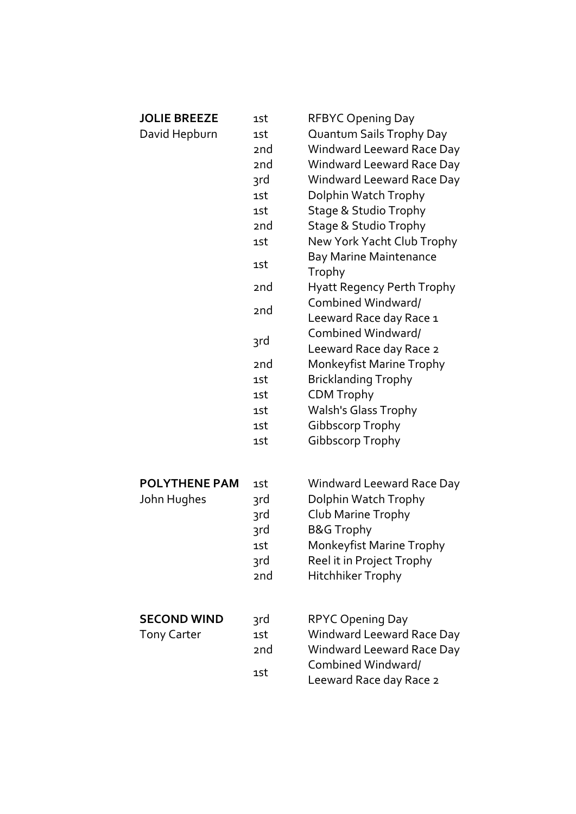| <b>JOLIE BREEZE</b>  | 1st             | <b>RFBYC Opening Day</b>                      |
|----------------------|-----------------|-----------------------------------------------|
| David Hepburn        | 1st             | Quantum Sails Trophy Day                      |
|                      | 2 <sub>nd</sub> | <b>Windward Leeward Race Day</b>              |
|                      | 2nd             | Windward Leeward Race Day                     |
|                      | 3rd             | Windward Leeward Race Day                     |
|                      | 1st             | Dolphin Watch Trophy                          |
|                      | 1st             | Stage & Studio Trophy                         |
|                      | 2 <sub>nd</sub> | <b>Stage &amp; Studio Trophy</b>              |
|                      | 1st             | New York Yacht Club Trophy                    |
|                      | 1st             | <b>Bay Marine Maintenance</b><br>Trophy       |
|                      | 2 <sub>nd</sub> | <b>Hyatt Regency Perth Trophy</b>             |
|                      | 2 <sub>nd</sub> | Combined Windward/<br>Leeward Race day Race 1 |
|                      | 3rd             | Combined Windward/<br>Leeward Race day Race 2 |
|                      | 2nd             | Monkeyfist Marine Trophy                      |
|                      | 1st             | <b>Bricklanding Trophy</b>                    |
|                      | 1st             | <b>CDM Trophy</b>                             |
|                      | 1st             | <b>Walsh's Glass Trophy</b>                   |
|                      | 1st             | Gibbscorp Trophy                              |
|                      | 1st             | Gibbscorp Trophy                              |
|                      |                 |                                               |
| <b>POLYTHENE PAM</b> | 1st             | Windward Leeward Race Day                     |
| John Hughes          | 3rd             | Dolphin Watch Trophy                          |
|                      | 3rd             | Club Marine Trophy                            |
|                      | 3rd             | <b>B&amp;G Trophy</b>                         |
|                      | 1st             | Monkeyfist Marine Trophy                      |
|                      | 3rd             | Reel it in Project Trophy                     |
|                      | 2nd             | Hitchhiker Trophy                             |
|                      |                 |                                               |
| <b>SECOND WIND</b>   | 3rd             | <b>RPYC Opening Day</b>                       |
| <b>Tony Carter</b>   | 1st             | Windward Leeward Race Day                     |
|                      | 2 <sub>nd</sub> | Windward Leeward Race Day                     |
|                      | 1st             | Combined Windward/<br>Leeward Race day Race 2 |